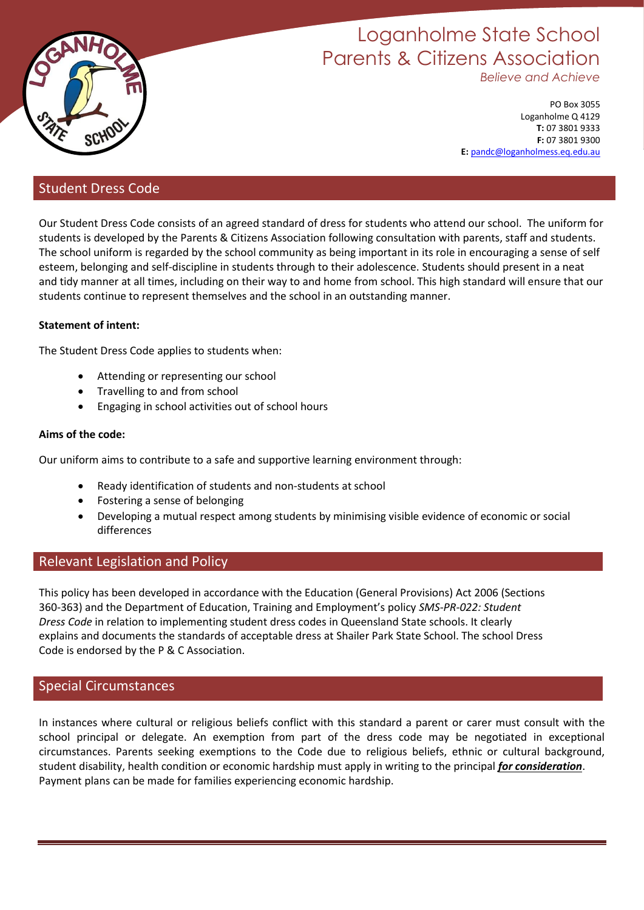

# Loganholme State School Parents & Citizens Association *Believe and Achieve*

PO Box 3055 Loganholme Q 4129 **T:** 07 3801 9333 **F:** 07 3801 9300 **E:** [pandc@loganholmess.eq.edu.au](mailto:pandc@loganholmess.eq.edu.au)

## Student Dress Code

Our Student Dress Code consists of an agreed standard of dress for students who attend our school. The uniform for students is developed by the Parents & Citizens Association following consultation with parents, staff and students. The school uniform is regarded by the school community as being important in its role in encouraging a sense of self esteem, belonging and self-discipline in students through to their adolescence. Students should present in a neat and tidy manner at all times, including on their way to and home from school. This high standard will ensure that our students continue to represent themselves and the school in an outstanding manner.

## **Statement of intent:**

The Student Dress Code applies to students when:

- Attending or representing our school
- Travelling to and from school
- Engaging in school activities out of school hours

## **Aims of the code:**

Our uniform aims to contribute to a safe and supportive learning environment through:

- Ready identification of students and non-students at school
- Fostering a sense of belonging
- Developing a mutual respect among students by minimising visible evidence of economic or social differences

## Relevant Legislation and Policy

This policy has been developed in accordance with the Education (General Provisions) Act 2006 (Sections 360-363) and the Department of Education, Training and Employment's policy *SMS-PR-022: Student Dress Code* in relation to implementing student dress codes in Queensland State schools. It clearly explains and documents the standards of acceptable dress at Shailer Park State School. The school Dress Code is endorsed by the P & C Association.

## Special Circumstances

In instances where cultural or religious beliefs conflict with this standard a parent or carer must consult with the school principal or delegate. An exemption from part of the dress code may be negotiated in exceptional circumstances. Parents seeking exemptions to the Code due to religious beliefs, ethnic or cultural background, student disability, health condition or economic hardship must apply in writing to the principal *for consideration*. Payment plans can be made for families experiencing economic hardship.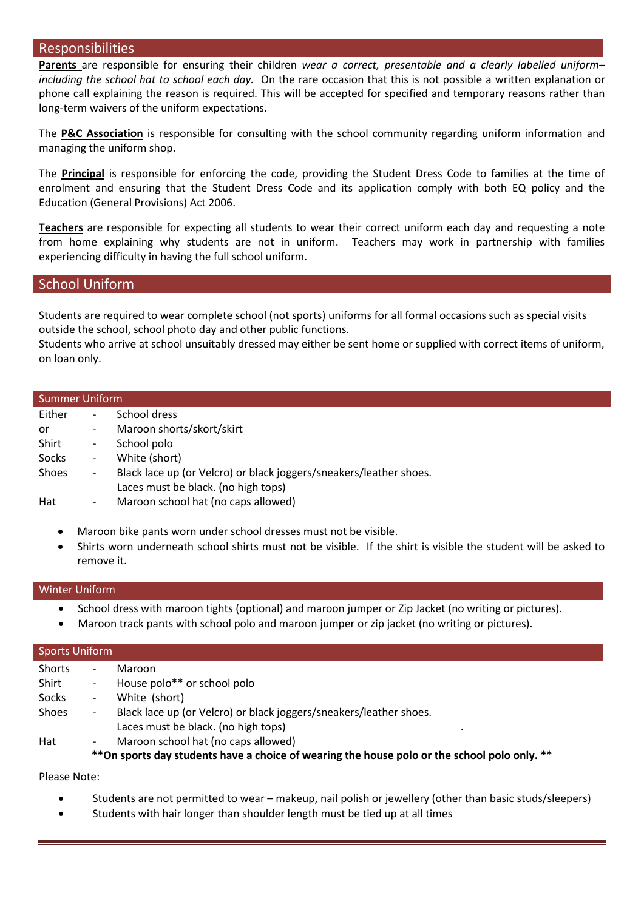### Responsibilities

**Parents** are responsible for ensuring their children *wear a correct, presentable and a clearly labelled uniform– including the school hat to school each day.* On the rare occasion that this is not possible a written explanation or phone call explaining the reason is required. This will be accepted for specified and temporary reasons rather than long-term waivers of the uniform expectations.

The **P&C Association** is responsible for consulting with the school community regarding uniform information and managing the uniform shop.

The **Principal** is responsible for enforcing the code, providing the Student Dress Code to families at the time of enrolment and ensuring that the Student Dress Code and its application comply with both EQ policy and the Education (General Provisions) Act 2006.

**Teachers** are responsible for expecting all students to wear their correct uniform each day and requesting a note from home explaining why students are not in uniform. Teachers may work in partnership with families experiencing difficulty in having the full school uniform.

## School Uniform

Students are required to wear complete school (not sports) uniforms for all formal occasions such as special visits outside the school, school photo day and other public functions.

Students who arrive at school unsuitably dressed may either be sent home or supplied with correct items of uniform, on loan only.

| <b>Summer Uniform</b> |                          |                                                                    |  |  |  |
|-----------------------|--------------------------|--------------------------------------------------------------------|--|--|--|
| Either                | -                        | School dress                                                       |  |  |  |
| or                    | $\overline{\phantom{0}}$ | Maroon shorts/skort/skirt                                          |  |  |  |
| Shirt                 | -                        | School polo                                                        |  |  |  |
| Socks                 | -                        | White (short)                                                      |  |  |  |
| Shoes                 | $\overline{\phantom{a}}$ | Black lace up (or Velcro) or black joggers/sneakers/leather shoes. |  |  |  |
|                       |                          | Laces must be black. (no high tops)                                |  |  |  |
| Hat                   | $\overline{\phantom{a}}$ | Maroon school hat (no caps allowed)                                |  |  |  |

- Maroon bike pants worn under school dresses must not be visible.
- Shirts worn underneath school shirts must not be visible. If the shirt is visible the student will be asked to remove it.

### Winter Uniform

- School dress with maroon tights (optional) and maroon jumper or Zip Jacket (no writing or pictures).
- Maroon track pants with school polo and maroon jumper or zip jacket (no writing or pictures).

| Sports Uniform |                                                                                              |                                                                    |  |  |  |
|----------------|----------------------------------------------------------------------------------------------|--------------------------------------------------------------------|--|--|--|
| Shorts         | $\overline{\phantom{0}}$                                                                     | Maroon                                                             |  |  |  |
| Shirt          | $\overline{\phantom{a}}$                                                                     | House polo** or school polo                                        |  |  |  |
| Socks          | $\overline{\phantom{a}}$                                                                     | White (short)                                                      |  |  |  |
| <b>Shoes</b>   | $ \,$                                                                                        | Black lace up (or Velcro) or black joggers/sneakers/leather shoes. |  |  |  |
|                |                                                                                              | Laces must be black. (no high tops)                                |  |  |  |
| Hat            | $\overline{\phantom{a}}$                                                                     | Maroon school hat (no caps allowed)                                |  |  |  |
|                | **On sports day students have a choice of wearing the house polo or the school polo only. ** |                                                                    |  |  |  |

Please Note:

- Students are not permitted to wear makeup, nail polish or jewellery (other than basic studs/sleepers)
- Students with hair longer than shoulder length must be tied up at all times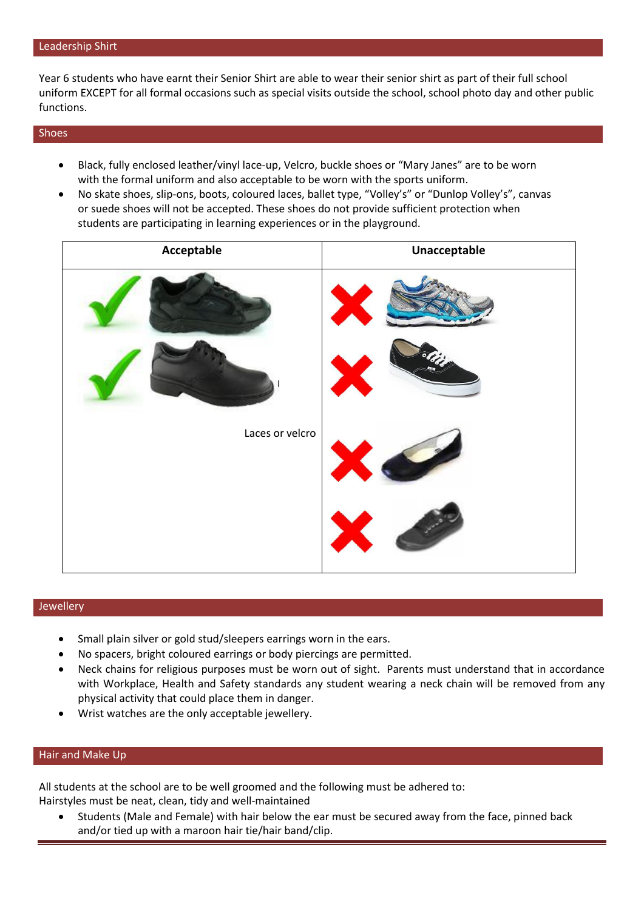#### Leadership Shirt

Year 6 students who have earnt their Senior Shirt are able to wear their senior shirt as part of their full school uniform EXCEPT for all formal occasions such as special visits outside the school, school photo day and other public functions.

#### Shoes

- Black, fully enclosed leather/vinyl lace-up, Velcro, buckle shoes or "Mary Janes" are to be worn with the formal uniform and also acceptable to be worn with the sports uniform.
- No skate shoes, slip-ons, boots, coloured laces, ballet type, "Volley's" or "Dunlop Volley's", canvas or suede shoes will not be accepted. These shoes do not provide sufficient protection when students are participating in learning experiences or in the playground.

| Acceptable      | Unacceptable |
|-----------------|--------------|
|                 |              |
|                 |              |
| Laces or velcro |              |
|                 |              |

#### Jewellery

- Small plain silver or gold stud/sleepers earrings worn in the ears.
- No spacers, bright coloured earrings or body piercings are permitted.
- Neck chains for religious purposes must be worn out of sight. Parents must understand that in accordance with Workplace, Health and Safety standards any student wearing a neck chain will be removed from any physical activity that could place them in danger.
- Wrist watches are the only acceptable jewellery.

#### Hair and Make Up

All students at the school are to be well groomed and the following must be adhered to: Hairstyles must be neat, clean, tidy and well-maintained

 Students (Male and Female) with hair below the ear must be secured away from the face, pinned back and/or tied up with a maroon hair tie/hair band/clip.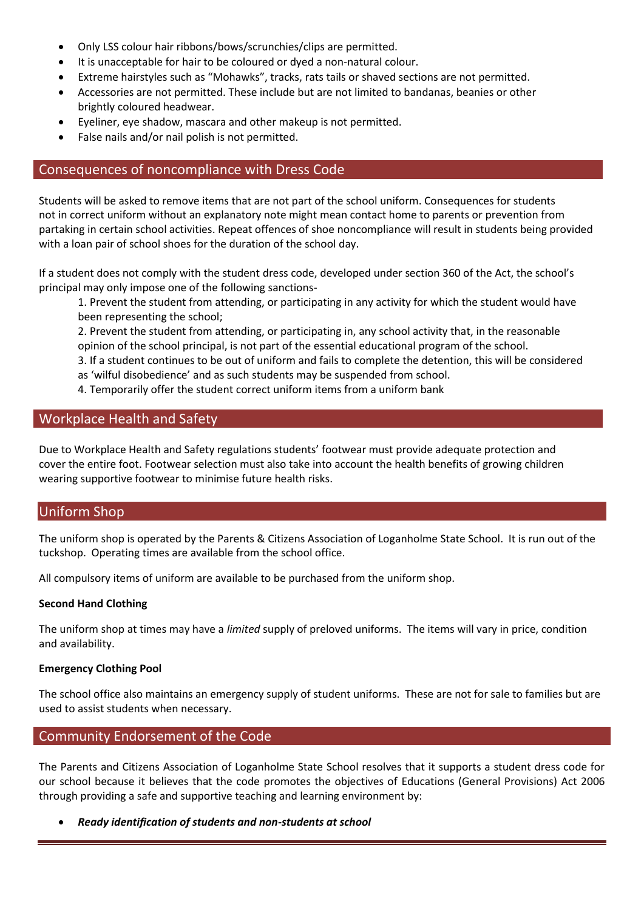- Only LSS colour hair ribbons/bows/scrunchies/clips are permitted.
- It is unacceptable for hair to be coloured or dyed a non-natural colour.
- Extreme hairstyles such as "Mohawks", tracks, rats tails or shaved sections are not permitted.
- Accessories are not permitted. These include but are not limited to bandanas, beanies or other brightly coloured headwear.
- Eyeliner, eye shadow, mascara and other makeup is not permitted.
- False nails and/or nail polish is not permitted.

## Consequences of noncompliance with Dress Code

Students will be asked to remove items that are not part of the school uniform. Consequences for students not in correct uniform without an explanatory note might mean contact home to parents or prevention from partaking in certain school activities. Repeat offences of shoe noncompliance will result in students being provided with a loan pair of school shoes for the duration of the school day.

If a student does not comply with the student dress code, developed under section 360 of the Act, the school's principal may only impose one of the following sanctions-

1. Prevent the student from attending, or participating in any activity for which the student would have been representing the school;

2. Prevent the student from attending, or participating in, any school activity that, in the reasonable opinion of the school principal, is not part of the essential educational program of the school.

3. If a student continues to be out of uniform and fails to complete the detention, this will be considered as 'wilful disobedience' and as such students may be suspended from school.

4. Temporarily offer the student correct uniform items from a uniform bank

## Workplace Health and Safety

Due to Workplace Health and Safety regulations students' footwear must provide adequate protection and cover the entire foot. Footwear selection must also take into account the health benefits of growing children wearing supportive footwear to minimise future health risks.

## Uniform Shop

The uniform shop is operated by the Parents & Citizens Association of Loganholme State School. It is run out of the tuckshop. Operating times are available from the school office.

All compulsory items of uniform are available to be purchased from the uniform shop.

### **Second Hand Clothing**

The uniform shop at times may have a *limited* supply of preloved uniforms. The items will vary in price, condition and availability.

#### **Emergency Clothing Pool**

The school office also maintains an emergency supply of student uniforms. These are not for sale to families but are used to assist students when necessary.

## Community Endorsement of the Code

The Parents and Citizens Association of Loganholme State School resolves that it supports a student dress code for our school because it believes that the code promotes the objectives of Educations (General Provisions) Act 2006 through providing a safe and supportive teaching and learning environment by:

*Ready identification of students and non-students at school*